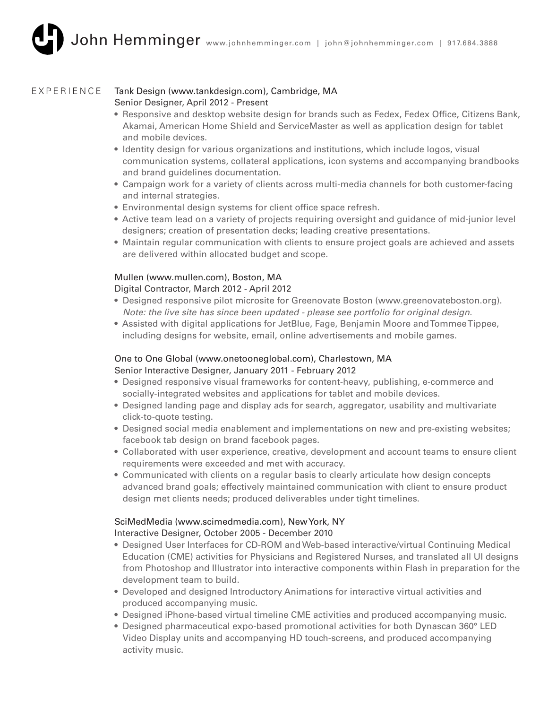#### Tank Design (www.tankdesign.com), Cambridge, MA EXPERIENCE

## Senior Designer, April 2012 - Present

- Responsive and desktop website design for brands such as Fedex, Fedex Office, Citizens Bank, Akamai, American Home Shield and ServiceMaster as well as application design for tablet and mobile devices.
- Identity design for various organizations and institutions, which include logos, visual communication systems, collateral applications, icon systems and accompanying brandbooks and brand guidelines documentation.
- Campaign work for a variety of clients across multi-media channels for both customer-facing and internal strategies.
- Environmental design systems for client office space refresh.
- Active team lead on a variety of projects requiring oversight and guidance of mid-junior level designers; creation of presentation decks; leading creative presentations.
- Maintain regular communication with clients to ensure project goals are achieved and assets are delivered within allocated budget and scope.

## Mullen (www.mullen.com), Boston, MA

## Digital Contractor, March 2012 - April 2012

- Designed responsive pilot microsite for Greenovate Boston (www.greenovateboston.org). *Note: the live site has since been updated - please see portfolio for original design.*
- Assisted with digital applications for JetBlue, Fage, Benjamin Moore and Tommee Tippee, including designs for website, email, online advertisements and mobile games.

## One to One Global (www.onetooneglobal.com), Charlestown, MA Senior Interactive Designer, January 2011 - February 2012

- Designed responsive visual frameworks for content-heavy, publishing, e-commerce and socially-integrated websites and applications for tablet and mobile devices.
- Designed landing page and display ads for search, aggregator, usability and multivariate click-to-quote testing.
- Designed social media enablement and implementations on new and pre-existing websites; facebook tab design on brand facebook pages.
- Collaborated with user experience, creative, development and account teams to ensure client requirements were exceeded and met with accuracy.
- Communicated with clients on a regular basis to clearly articulate how design concepts advanced brand goals; effectively maintained communication with client to ensure product design met clients needs; produced deliverables under tight timelines.

# SciMedMedia (www.scimedmedia.com), New York, NY

## Interactive Designer, October 2005 - December 2010

- Designed User Interfaces for CD-ROM and Web-based interactive/virtual Continuing Medical Education (CME) activities for Physicians and Registered Nurses, and translated all UI designs from Photoshop and Illustrator into interactive components within Flash in preparation for the development team to build.
- Developed and designed Introductory Animations for interactive virtual activities and produced accompanying music.
- Designed iPhone-based virtual timeline CME activities and produced accompanying music.
- Designed pharmaceutical expo-based promotional activities for both Dynascan 360° LED Video Display units and accompanying HD touch-screens, and produced accompanying activity music.